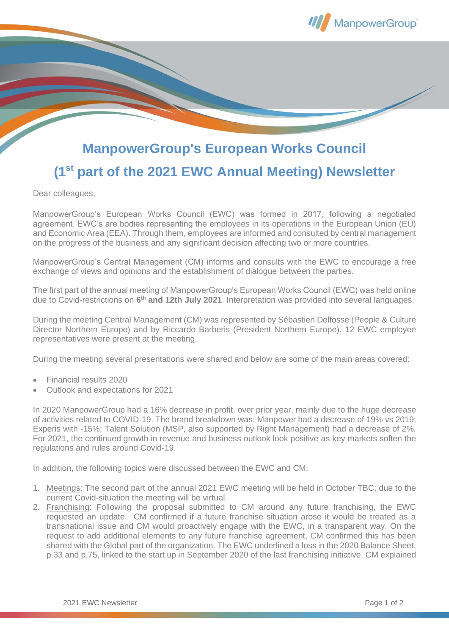

## **ManpowerGroup's European Works Council**

## **(1st part of the 2021 EWC Annual Meeting) Newsletter**

Dear colleagues,

ManpowerGroup's European Works Council (EWC) was formed in 2017, following a negotiated agreement. EWC's are bodies representing the employees in its operations in the European Union (EU) and Economic Area (EEA). Through them, employees are informed and consulted by central management on the progress of the business and any significant decision affecting two or more countries.

ManpowerGroup's Central Management (CM) informs and consults with the EWC to encourage a free exchange of views and opinions and the establishment of dialogue between the parties.

The first part of the annual meeting of ManpowerGroup's European Works Council (EWC) was held online due to Covid-restrictions on **6 th and 12th July 2021**. Interpretation was provided into several languages.

During the meeting Central Management (CM) was represented by Sébastien Delfosse (People & Culture Director Northern Europe) and by Riccardo Barberis (President Northern Europe). 12 EWC employee representatives were present at the meeting.

During the meeting several presentations were shared and below are some of the main areas covered:

- Financial results 2020
- Outlook and expectations for 2021

In 2020 ManpowerGroup had a 16% decrease in profit, over prior year, mainly due to the huge decrease of activities related to COVID-19. The brand breakdown was: Manpower had a decrease of 19% vs 2019; Experis with -15%; Talent Solution (MSP, also supported by Right Management) had a decrease of 2%. For 2021, the continued growth in revenue and business outlook look positive as key markets soften the regulations and rules around Covid-19.

In addition, the following topics were discussed between the EWC and CM:

- 1. Meetings: The second part of the annual 2021 EWC meeting will be held in October TBC; due to the current Covid-situation the meeting will be virtual.
- 2. Franchising: Following the proposal submitted to CM around any future franchising, the EWC requested an update. CM confirmed if a future franchise situation arose it would be treated as a transnational issue and CM would proactively engage with the EWC, in a transparent way. On the request to add additional elements to any future franchise agreement, CM confirmed this has been shared with the Global part of the organization. The EWC underlined a loss in the 2020 Balance Sheet, p.33 and p.75, linked to the start up in September 2020 of the last franchising initiative. CM explained